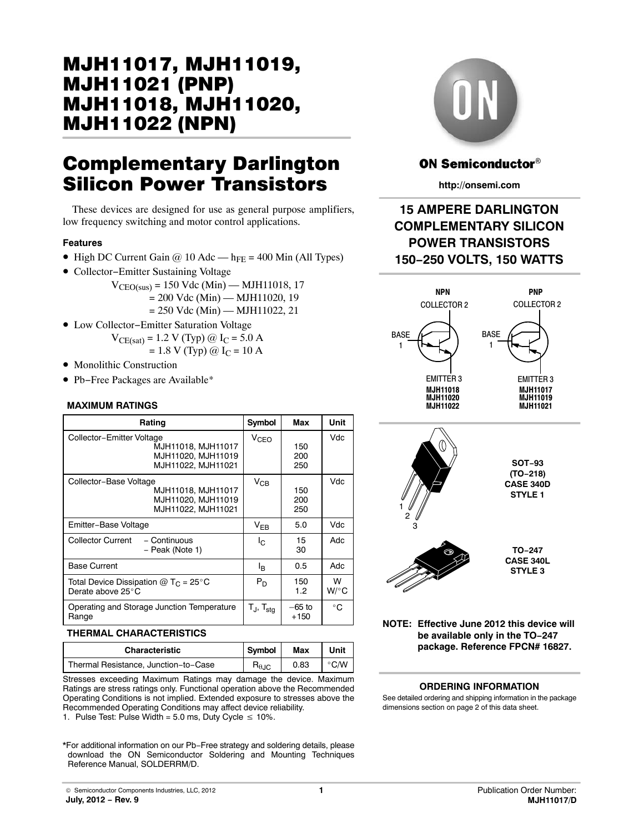# MJH11017, MJH11019, MJH11018.`MJH<sup>.</sup> **MJH11022 (NPN)**  $\frac{1}{\sqrt{2}}$ (NPN)

# Complementary Darlington

These devices are designed for use as general purpose amplifiers, low frequency switching and motor control applications.

### **Features**

- High DC Current Gain  $\omega$  10 Adc h<sub>FE</sub> = 400 Min (All Types)
- Collector−Emitter Sustaining Voltage
	- $V_{\text{CEO(sus)}} = 150 \text{ Vdc (Min)} \text{MH11018}, 17$  $= 200$  Vdc (Min) — MJH11020, 19
		- $= 250$  Vdc (Min) MJH11022, 21
- Low Collector−Emitter Saturation Voltage  $V_{CE(sat)} = 1.2 V (Typ) @ I<sub>C</sub> = 5.0 A$ <br>- 1.8 V (Typ) @ L<sub>G</sub> = 10.A

$$
= 1.8
$$
 V (Typ) @  $I_C = 10$  A

- Monolithic Construction
- Pb−Free Packages are Available\*

### **MAXIMUM RATINGS**

| Rating                                                                                      | Symbol              | Max                | Unit              |
|---------------------------------------------------------------------------------------------|---------------------|--------------------|-------------------|
| Collector-Emitter Voltage<br>MJH11018, MJH11017<br>MJH11020, MJH11019<br>MJH11022, MJH11021 | V <sub>CEO</sub>    | 150<br>200<br>250  | Vdc               |
| Collector-Base Voltage<br>MJH11018, MJH11017<br>MJH11020, MJH11019<br>MJH11022, MJH11021    | $V_{CR}$            | 150<br>200<br>250  | Vdc               |
| Emitter-Base Voltage                                                                        | $V_{FB}$            | 5.0                | Vdc               |
| <b>Collector Current</b><br>- Continuous<br>- Peak (Note 1)                                 | lc.                 | 15<br>30           | Adc               |
| <b>Base Current</b>                                                                         | ΙŖ                  | 0.5                | Adc               |
| Total Device Dissipation @ T <sub>C</sub> = 25°C<br>Derate above 25°C                       | $P_D$               | 150<br>1.2         | W<br>$W/^\circ C$ |
| Operating and Storage Junction Temperature<br>Range                                         | $T_{J}$ , $T_{sta}$ | $-65$ to<br>$+150$ | $^{\circ}$ C      |

### **THERMAL CHARACTERISTICS**

| <b>Characteristic</b>                | Symbol                 | Max  | Unit |
|--------------------------------------|------------------------|------|------|
| Thermal Resistance, Junction-to-Case | $R_{\theta \text{JC}}$ | 0.83 | °C/W |

Stresses exceeding Maximum Ratings may damage the device. Maximum Ratings are stress ratings only. Functional operation above the Recommended Operating Conditions is not implied. Extended exposure to stresses above the Recommended Operating Conditions may affect device reliability.

1. Pulse Test: Pulse Width = 5.0 ms, Duty Cycle  $\leq 10\%$ .

\*For additional information on our Pb−Free strategy and soldering details, please download the ON Semiconductor Soldering and Mounting Techniques Reference Manual, SOLDERRM/D.



# **ON Semiconductor®**

**http://onsemi.com**

# **15 AMPERE DARLINGTON COMPLEMENTARY SILICON POWER TRANSISTORS 150−250 VOLTS, 150 WATTS**





**NOTE: Effective June 2012 this device will be available only in the TO−247 package. Reference FPCN# 16827.**

### **ORDERING INFORMATION**

See detailed ordering and shipping information in the package dimensions section on page [2](#page-1-0) of this data sheet.

**TO−247 CASE 340L STYLE 3**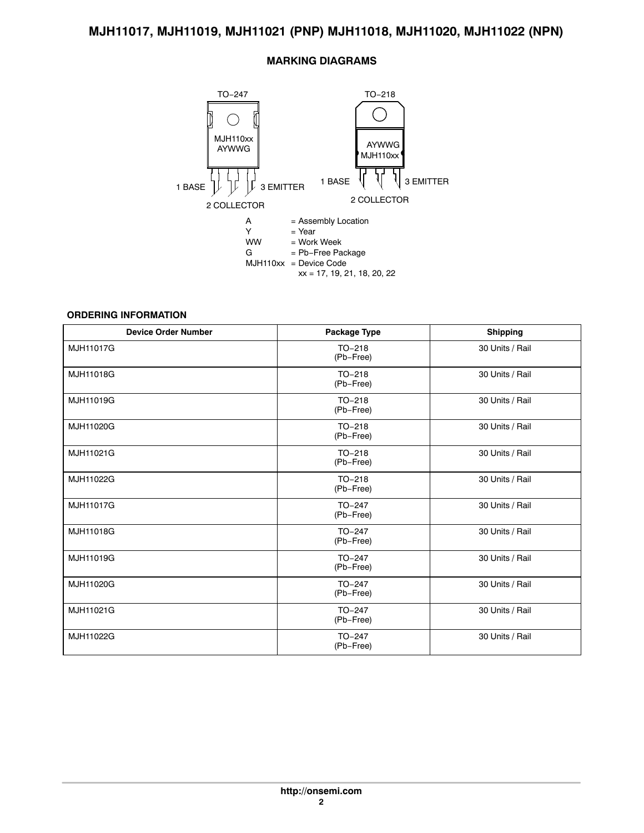# **MARKING DIAGRAMS**

<span id="page-1-0"></span>

### **ORDERING INFORMATION**

| <b>Device Order Number</b> | <b>Package Type</b>   | <b>Shipping</b> |  |
|----------------------------|-----------------------|-----------------|--|
| MJH11017G                  | $TO-218$<br>(Pb-Free) | 30 Units / Rail |  |
| MJH11018G                  | $TO-218$<br>(Pb-Free) | 30 Units / Rail |  |
| MJH11019G                  | $TO-218$<br>(Pb-Free) | 30 Units / Rail |  |
| MJH11020G                  | $TO-218$<br>(Pb-Free) | 30 Units / Rail |  |
| MJH11021G                  | $TO-218$<br>(Pb-Free) | 30 Units / Rail |  |
| MJH11022G                  | TO-218<br>(Pb-Free)   | 30 Units / Rail |  |
| MJH11017G                  | $TO-247$<br>(Pb-Free) | 30 Units / Rail |  |
| MJH11018G                  | $TO-247$<br>(Pb-Free) | 30 Units / Rail |  |
| MJH11019G                  | $TO-247$<br>(Pb-Free) | 30 Units / Rail |  |
| MJH11020G                  | $TO-247$<br>(Pb-Free) | 30 Units / Rail |  |
| MJH11021G                  | $TO-247$<br>(Pb-Free) | 30 Units / Rail |  |
| MJH11022G                  | TO-247<br>(Pb-Free)   | 30 Units / Rail |  |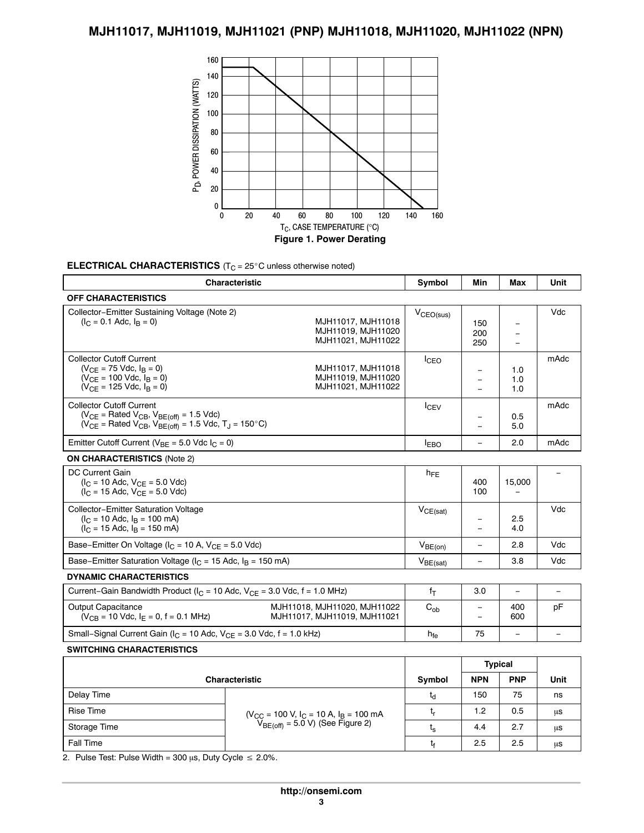

ÎÎÎÎ

 $\frac{t_s}{t}$  4.4 2.7  $\mu s$ 

 $\frac{1}{6}$  t<sub>f</sub> 2.5 2.5  $\mu s$ 

 $\mu$ s

 $\begin{array}{|c|c|c|}\n\hline\n2.7 & \mu s \\
\hline\n0.5 & \mu g\n\end{array}$ 

4.4 2.7  $\mu$ s

 $2.5$   $2.5$   $\mu s$ 

 $\frac{1}{2}$  2.7  $\mu$ s

 $\frac{5}{1}$  2.5  $\mu$ s

<u> III de la provincia de la provincia de la provincia de la provincia de la provincia de la provincia de la prov</u>

ÎÎÎÎ

ÎÎÎ

# **ELECTRICAL CHARACTERISTICS** (T<sub>C</sub> = 25°C unless otherwise noted)<br>
————————————————————

| <b>Characteristic</b>                                                                                                                                                                                       |                                             |                | <b>Min</b>                                           | <b>Max</b>                                                | Unit                     |
|-------------------------------------------------------------------------------------------------------------------------------------------------------------------------------------------------------------|---------------------------------------------|----------------|------------------------------------------------------|-----------------------------------------------------------|--------------------------|
| <b>OFF CHARACTERISTICS</b>                                                                                                                                                                                  |                                             |                |                                                      |                                                           |                          |
| Collector-Emitter Sustaining Voltage (Note 2)<br>$(I_C = 0.1$ Adc, $I_B = 0$ )<br>MJH11017, MJH11018<br>MJH11019, MJH11020<br>MJH11021, MJH11022                                                            |                                             | $V_{CEO(sus)}$ | 150<br>200<br>250                                    | $\equiv$<br>$\overline{\phantom{m}}$<br>$\qquad \qquad -$ | Vdc                      |
| <b>Collector Cutoff Current</b><br>$(V_{CE} = 75$ Vdc, $I_B = 0)$<br>MJH11017, MJH11018<br>MJH11019, MJH11020<br>$(V_{CE} = 100$ Vdc, $I_B = 0$ )<br>$(V_{CF} = 125$ Vdc, $I_B = 0$ )<br>MJH11021, MJH11022 |                                             |                | $\overline{\phantom{m}}$<br>$\equiv$<br>$\equiv$     | 1.0<br>1.0<br>1.0                                         | mAdc                     |
| <b>Collector Cutoff Current</b><br>$(V_{CE}$ = Rated $V_{CB}$ , $V_{BE(off)}$ = 1.5 Vdc)<br>$(V_{CE}$ = Rated $V_{CB}$ , $V_{BE}$ <sub>(off)</sub> = 1.5 Vdc, T <sub>J</sub> = 150 °C)                      |                                             |                | $\overline{\phantom{m}}$<br>$\overline{\phantom{0}}$ | 0.5<br>5.0                                                | mAdc                     |
| Emitter Cutoff Current ( $V_{BE}$ = 5.0 Vdc $I_C$ = 0)                                                                                                                                                      |                                             |                | $\equiv$                                             | 2.0                                                       | mAdc                     |
| <b>ON CHARACTERISTICS (Note 2)</b>                                                                                                                                                                          |                                             |                |                                                      |                                                           |                          |
| <b>DC Current Gain</b><br>$(I_C = 10$ Adc, $V_{CF} = 5.0$ Vdc)<br>$(I_C = 15$ Adc, $V_{CF} = 5.0$ Vdc)                                                                                                      |                                             | $h_{FE}$       | 400<br>100                                           | 15,000                                                    |                          |
| Collector-Emitter Saturation Voltage<br>$(I_C = 10$ Adc, $I_B = 100$ mA)<br>$(I_C = 15$ Adc, $I_B = 150$ mA)                                                                                                |                                             | $V_{CE(sat)}$  | $\overline{\phantom{m}}$<br>$\overline{\phantom{a}}$ | 2.5<br>4.0                                                | Vdc                      |
| Base-Emitter On Voltage ( $I_C$ = 10 A, $V_{CE}$ = 5.0 Vdc)                                                                                                                                                 |                                             | $V_{BE(on)}$   | $\overline{\phantom{a}}$                             | 2.8                                                       | Vdc                      |
| Base-Emitter Saturation Voltage ( $I_C$ = 15 Adc, $I_B$ = 150 mA)                                                                                                                                           |                                             | $V_{BE(sat)}$  | $\equiv$                                             | 3.8                                                       | Vdc                      |
| <b>DYNAMIC CHARACTERISTICS</b>                                                                                                                                                                              |                                             |                |                                                      |                                                           |                          |
| Current-Gain Bandwidth Product ( $I_C = 10$ Adc, $V_{CE} = 3.0$ Vdc, $f = 1.0$ MHz)                                                                                                                         |                                             | $f_T$          | 3.0                                                  | $\qquad \qquad -$                                         | $\overline{\phantom{0}}$ |
| <b>Output Capacitance</b><br>MJH11018, MJH11020, MJH11022<br>$(V_{CB} = 10$ Vdc, $I_F = 0$ , f = 0.1 MHz)<br>MJH11017, MJH11019, MJH11021                                                                   |                                             |                | $\overline{\phantom{a}}$<br>$=$                      | 400<br>600                                                | pF                       |
| Small-Signal Current Gain ( $I_C$ = 10 Adc, $V_{CF}$ = 3.0 Vdc, f = 1.0 kHz)                                                                                                                                |                                             |                | 75                                                   |                                                           |                          |
| <b>SWITCHING CHARACTERISTICS</b>                                                                                                                                                                            |                                             |                |                                                      |                                                           |                          |
|                                                                                                                                                                                                             |                                             |                | <b>Typical</b>                                       |                                                           |                          |
| Characteristic                                                                                                                                                                                              |                                             | Symbol         | <b>NPN</b>                                           | <b>PNP</b>                                                | Unit                     |
| Delay Time                                                                                                                                                                                                  |                                             | $t_d$          | 150                                                  | 75                                                        | ns                       |
| <b>Rise Time</b>                                                                                                                                                                                            | $(V_{CC} = 100 V, I_C = 10 A, I_B = 100 mA$ | $t_{r}$        | 1.2                                                  | 0.5                                                       | μs                       |
| Storage Time                                                                                                                                                                                                | $V_{BE(off)} = 5.0 V$ ) (See Figure 2)      | t.             | 44                                                   | 27                                                        | $\overline{11S}$         |

 $\begin{array}{|c|c|c|c|}\hline \text{Fall Time} & & & t_{\mathsf{f}} & 2.5 & 2.5 & \mu\text{s} \ \hline \end{array}$ <br>2. Pulse Test: Pulse Width = 300  $\mu$ s, Duty Cycle ≤ 2.0%.

ÎÎÎÎÎÎÎÎÎÎÎÎÎ

Storage Time<br>  $V_{BE(off)} = 3.0 \text{ V}$  (See Figure 2)<br>  $t_s$  4.4 2.7  $\mu s$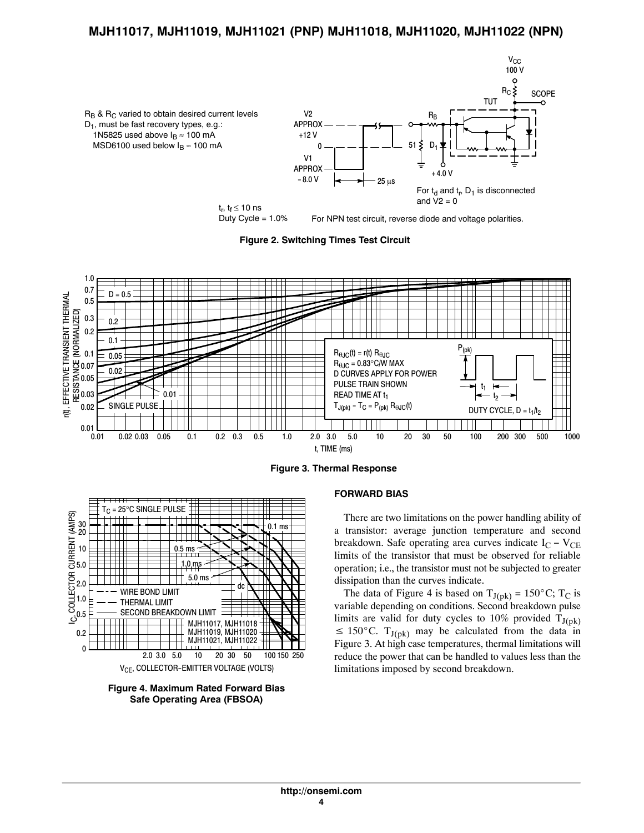

Duty Cycle = 1.0%

For NPN test circuit, reverse diode and voltage polarities.

**Figure 2. Switching Times Test Circuit**



**Figure 3. Thermal Response**



**Figure 4. Maximum Rated Forward Bias Safe Operating Area (FBSOA)**

### **FORWARD BIAS**

There are two limitations on the power handling ability of a transistor: average junction temperature and second breakdown. Safe operating area curves indicate  $I_C - V_{CE}$ limits of the transistor that must be observed for reliable operation; i.e., the transistor must not be subjected to greater dissipation than the curves indicate. Example, the data of Figure 4 is based on  $T_{J(pk)} = 150^{\circ}$ C; T<sub>C</sub> is

variable depending on conditions. Second breakdown pulse limits are valid for duty cycles to 10% provided  $T_{J(pk)} \le 150^{\circ}$ C.  $T_{J(pk)}$  may be calculated from the data in  $\leq 150^{\circ}$ C. T<sub>J(pk)</sub> may be calculated from the data in Figure 3. At high case temperatures, thermal limitations will reduce the power that can be handled to values less than the limitations imposed by second breakdown.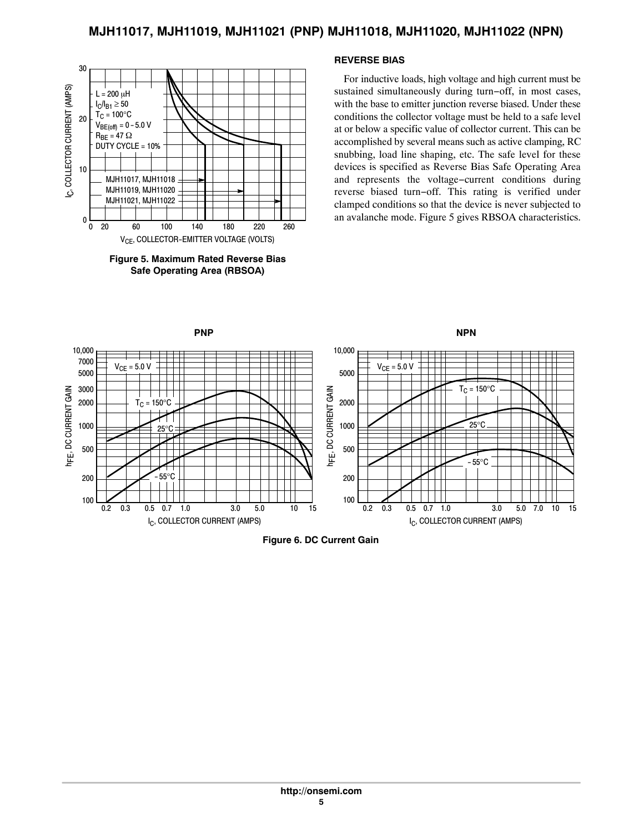

**Figure 5. Maximum Rated Reverse Bias Safe Operating Area (RBSOA)**

### **REVERSE BIAS**

For inductive loads, high voltage and high current must be sustained simultaneously during turn−off, in most cases, with the base to emitter junction reverse biased. Under these conditions the collector voltage must be held to a safe level at or below a specific value of collector current. This can be accomplished by several means such as active clamping, RC snubbing, load line shaping, etc. The safe level for these devices is specified as Reverse Bias Safe Operating Area and represents the voltage−current conditions during reverse biased turn−off. This rating is verified under clamped conditions so that the device is never subjected to an avalanche mode. Figure 5 gives RBSOA characteristics.



**Figure 6. DC Current Gain**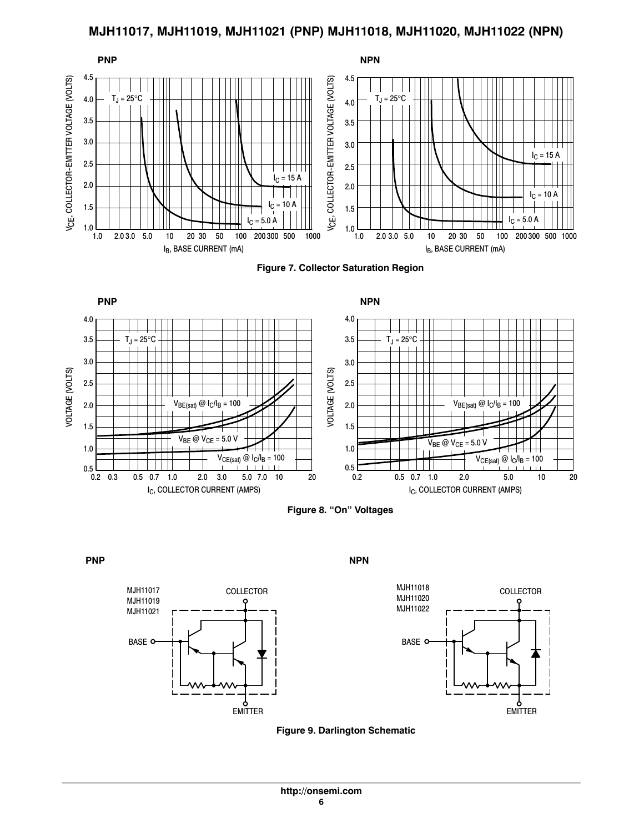

**Figure 7. Collector Saturation Region**







**PNP** NPN



**Figure 9. Darlington Schematic**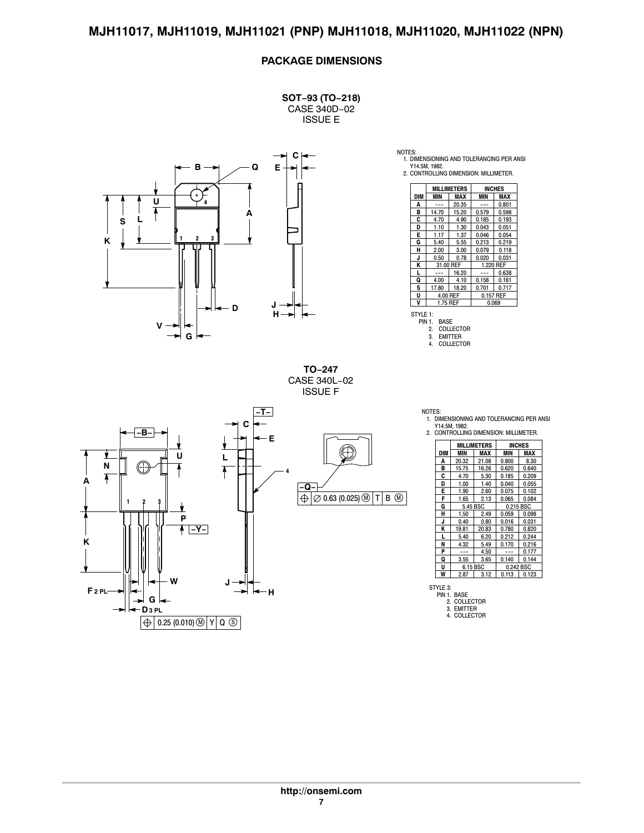# **PACKAGE DIMENSIONS**

**SOT−93 (TO−218)** CASE 340D−02 ISSUE E



NOTES: 1. DIMENSIONING AND TOLERANCING PER ANSI

Y14.5M, 1982. 2. CONTROLLING DIMENSION: MILLIMETER. **<sup>E</sup>**

|     | <b>MILLIMETERS</b> |       | <b>INCHES</b> |           |  |
|-----|--------------------|-------|---------------|-----------|--|
| DIM | MIN                | MAX   | MIN           | MAX       |  |
| A   |                    | 20.35 |               | 0.801     |  |
| B   | 14.70              | 15.20 | 0.579         | 0.598     |  |
| C   | 4.70               | 4.90  | 0.185         | 0.193     |  |
| D   | 1.10               | 1.30  | 0.043         | 0.051     |  |
| E   | 1.17               | 1.37  | 0.046         | 0.054     |  |
| G   | 5.40               | 5.55  | 0.213         | 0.219     |  |
| н   | 2.00               | 3.00  | 0.079         | 0.118     |  |
| J   | 0.50               | 0.78  | 0.020         | 0.031     |  |
| K   | 31.00 REF          |       |               | 1.220 REF |  |
| L   |                    | 16.20 |               | 0.638     |  |
| Q   | 4.00               | 4.10  | 0.158         | 0.161     |  |
| S   | 17.80              | 18.20 | 0.701         | 0.717     |  |
| U   | 4.00 REF           |       | 0.157 REF     |           |  |
| V   | 1.75 REF           |       |               | 0.069     |  |

STYLE 1: PIN 1. BASE 2. COLLECTOR 3. EMITTER<br>4. COLLECTO

COLLECTOR

**TO−247** CASE 340L−02 ISSUE F

![](_page_6_Figure_11.jpeg)

NOTES:

1. DIMENSIONING AND TOLERANCING PER ANSI Y14.5M, 1982.

2. CONTROLLING DIMENSION: MILLIMETER.

|     | MILLIMETERS |       |           | <b>INCHES</b> |  |
|-----|-------------|-------|-----------|---------------|--|
| DIM | MIN         | MAX   | MIN       | MAX           |  |
| Α   | 20.32       | 21.08 | 0.800     | 8.30          |  |
| B   | 15.75       | 16.26 | 0.620     | 0.640         |  |
| Ċ   | 4.70        | 5.30  | 0.185     | 0.209         |  |
| D   | 1.00        | 1.40  | 0.040     | 0.055         |  |
| E   | 1.90        | 2.60  | 0.075     | 0.102         |  |
| F   | 1.65        | 2.13  | 0.065     | 0.084         |  |
| G   | 5.45 BSC    |       | 0.215 BSC |               |  |
| н   | 1.50        | 2.49  | 0.059     | 0.098         |  |
| J   | 0.40        | 0.80  | 0.016     | 0.031         |  |
| K   | 19.81       | 20.83 | 0.780     | 0.820         |  |
| L   | 5.40        | 6.20  | 0.212     | 0.244         |  |
| N   | 4.32        | 5.49  | 0.170     | 0.216         |  |
| P   |             | 4.50  |           | 0.177         |  |
| Q   | 3.55        | 3.65  | 0.140     | 0.144         |  |
| U   | 6.15 BSC    |       |           | 0.242 BSC     |  |
| W   | 2.87        | 3.12  | 0.113     | 0.123         |  |

STYLE 3: PIN 1. BASE 2. COLLECTOR 3. EMITTER 4. COLLECTOR